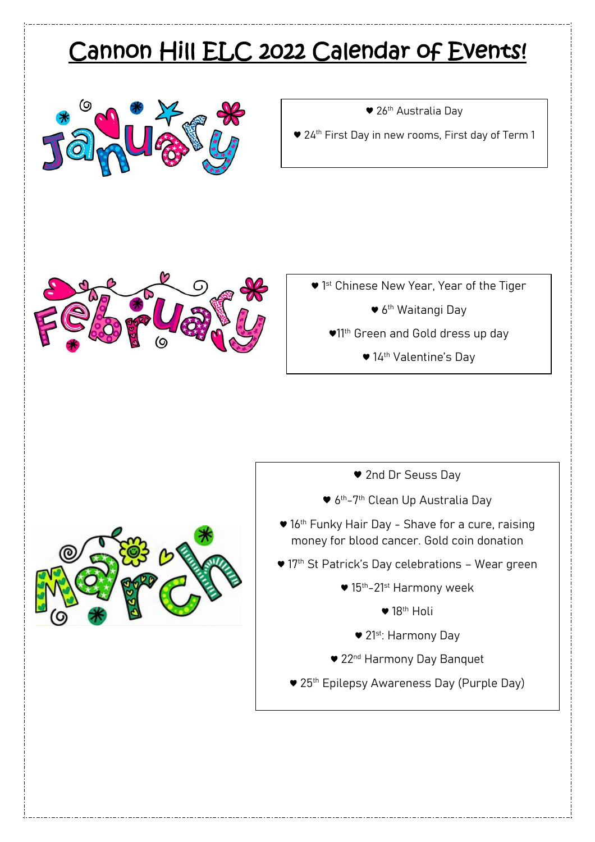## Cannon Hill ELC 2022 Calendar of Events!



● 26<sup>th</sup> Australia Day

● 24<sup>th</sup> First Day in new rooms, First day of Term 1



- ♥ 1<sup>st</sup> Chinese New Year, Year of the Tiger
	- 6<sup>th</sup> Waitangi Day
	- ♥11th Green and Gold dress up day
		- ♥ 14th Valentine's Day

- ♥ 2nd Dr Seuss Day
- 6<sup>th</sup>-7<sup>th</sup> Clean Up Australia Day
- 16<sup>th</sup> Funky Hair Day Shave for a cure, raising money for blood cancer. Gold coin donation
- 17<sup>th</sup> St Patrick's Day celebrations Wear green
	- $\blacktriangledown$  15<sup>th</sup>–21<sup>st</sup> Harmony week
		- $\bullet$  18<sup>th</sup> Holi
		- ♥ 21st: Harmony Day
	- 22<sup>nd</sup> Harmony Day Banquet
	- ♥ 25th Epilepsy Awareness Day (Purple Day)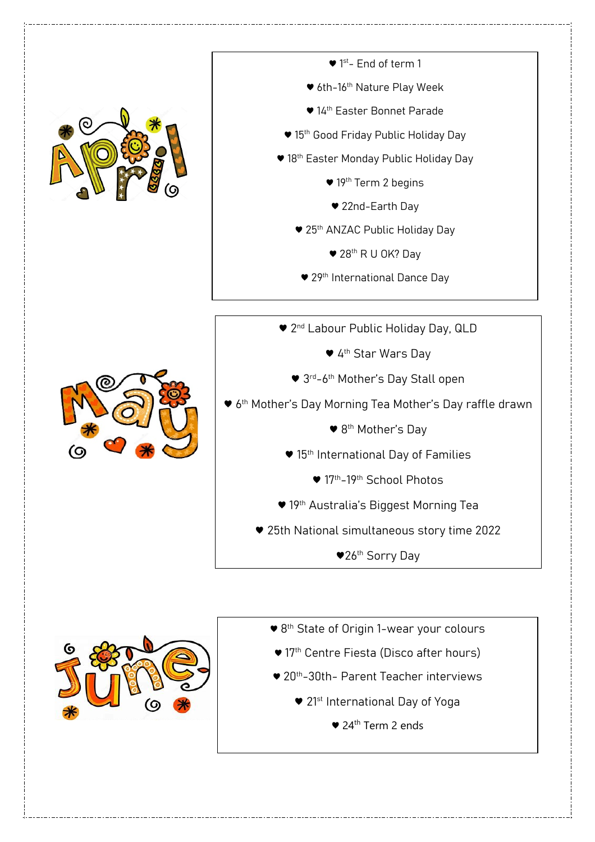

- ♥ 1<sup>st</sup>- End of term 1
- ♥ 6th-16th Nature Play Week
- ♥ 14th Easter Bonnet Parade
- 15<sup>th</sup> Good Friday Public Holiday Day
- 18<sup>th</sup> Easter Monday Public Holiday Day
	- ♥ 19th Term 2 begins
	- ♥ 22nd-Earth Day
	- 25<sup>th</sup> ANZAC Public Holiday Day
		- ♥ 28th R U OK? Day
	- 29<sup>th</sup> International Dance Day



- 2<sup>nd</sup> Labour Public Holiday Day, QLD
	- ♥ 4th Star Wars Day
	- 3rd-6<sup>th</sup> Mother's Day Stall open
- ♥ 6th Mother's Day Morning Tea Mother's Day raffle drawn
	- ♥ 8th Mother's Day
	- 15<sup>th</sup> International Day of Families
		- ♥ 17th-19th School Photos
	- ♥ 19th Australia's Biggest Morning Tea
	- ♥ 25th National simultaneous story time 2022
		- ♥26th Sorry Day



- ♥ 8<sup>th</sup> State of Origin 1-wear your colours
- 17<sup>th</sup> Centre Fiesta (Disco after hours)
- ♥ 20<sup>th</sup>-30th- Parent Teacher interviews
- $\bullet$  21st International Day of Yoga
	- ♥ 24th Term 2 ends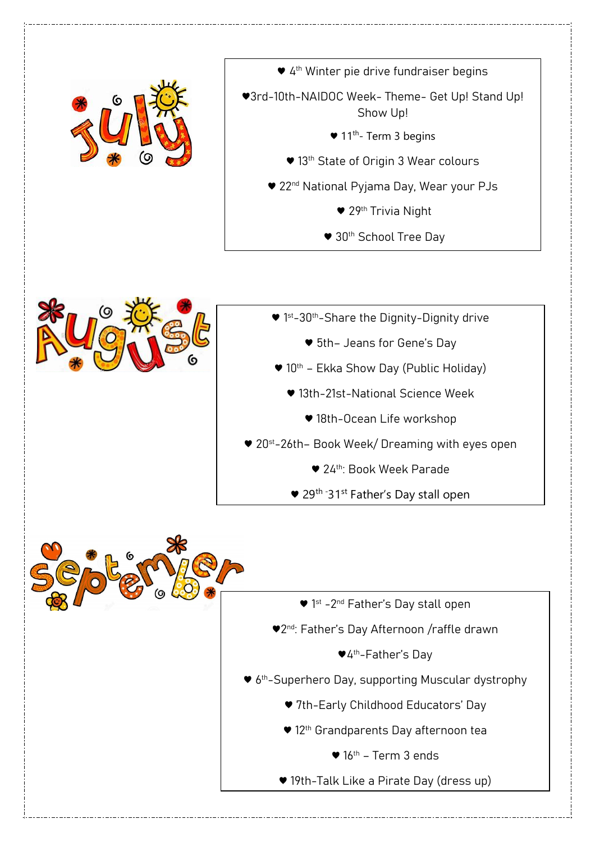

● 4<sup>th</sup> Winter pie drive fundraiser begins ♥3rd-10th-NAIDOC Week- Theme- Get Up! Stand Up! Show Up!  $\bullet$  11<sup>th</sup>- Term 3 begins ● 13<sup>th</sup> State of Origin 3 Wear colours ♥ 22nd National Pyjama Day, Wear your PJs ♥ 29th Trivia Night ♥ 30th School Tree Day



- ♥ 1<sup>st</sup>-30<sup>th</sup>-Share the Dignity-Dignity drive
	- ♥ 5th– Jeans for Gene's Day
- 10<sup>th</sup> Ekka Show Day (Public Holiday)
	- ♥ 13th-21st-National Science Week
		- ♥ 18th-Ocean Life workshop
- ♥ 20st-26th– Book Week/ Dreaming with eyes open
	- ♥ 24th: Book Week Parade
	- 29<sup>th -</sup>31<sup>st</sup> Father's Day stall open



- 1<sup>st</sup> -2<sup>nd</sup> Father's Day stall open ♥2<sup>nd</sup>: Father's Day Afternoon /raffle drawn
	- ♥4th-Father's Day
- 6<sup>th</sup>-Superhero Day, supporting Muscular dystrophy
	- ♥ 7th-Early Childhood Educators' Day
	- 12<sup>th</sup> Grandparents Day afternoon tea
		- $\bullet$  16<sup>th</sup> Term 3 ends
	- ♥ 19th-Talk Like a Pirate Day (dress up)